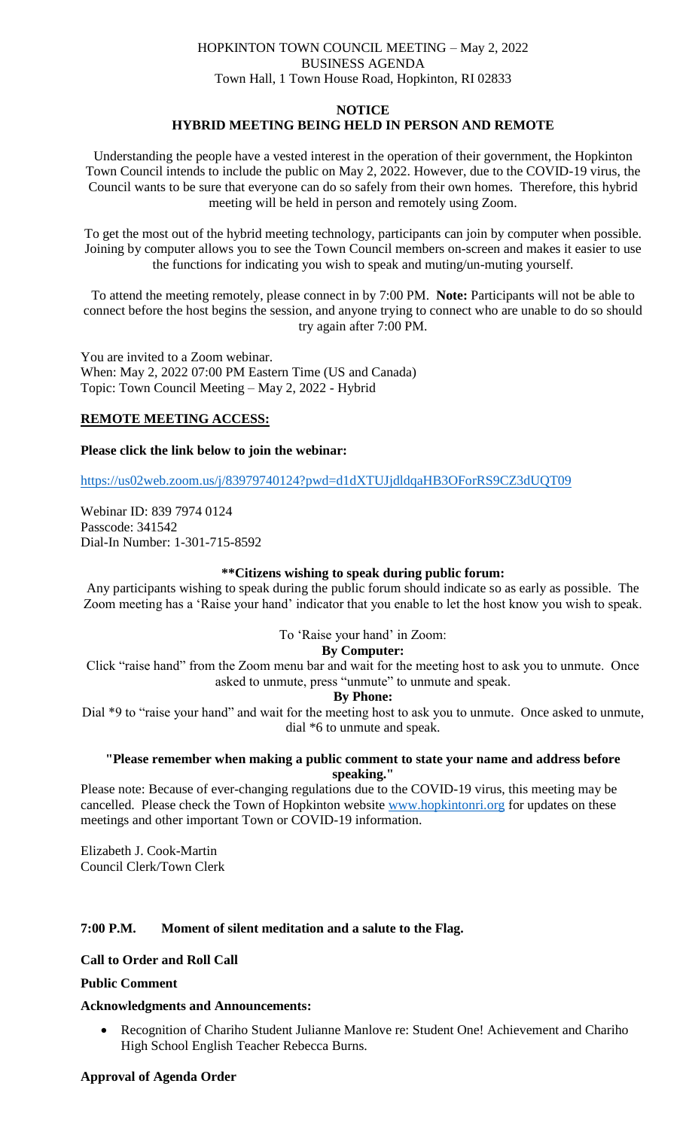# HOPKINTON TOWN COUNCIL MEETING – May 2, 2022 BUSINESS AGENDA Town Hall, 1 Town House Road, Hopkinton, RI 02833

#### **NOTICE**

# **HYBRID MEETING BEING HELD IN PERSON AND REMOTE**

Understanding the people have a vested interest in the operation of their government, the Hopkinton Town Council intends to include the public on May 2, 2022. However, due to the COVID-19 virus, the Council wants to be sure that everyone can do so safely from their own homes. Therefore, this hybrid meeting will be held in person and remotely using Zoom.

To get the most out of the hybrid meeting technology, participants can join by computer when possible. Joining by computer allows you to see the Town Council members on-screen and makes it easier to use the functions for indicating you wish to speak and muting/un-muting yourself.

To attend the meeting remotely, please connect in by 7:00 PM. **Note:** Participants will not be able to connect before the host begins the session, and anyone trying to connect who are unable to do so should try again after 7:00 PM.

You are invited to a Zoom webinar. When: May 2, 2022 07:00 PM Eastern Time (US and Canada) Topic: Town Council Meeting – May 2, 2022 - Hybrid

## **REMOTE MEETING ACCESS:**

#### **Please click the link below to join the webinar:**

<https://us02web.zoom.us/j/83979740124?pwd=d1dXTUJjdldqaHB3OForRS9CZ3dUQT09>

Webinar ID: 839 7974 0124 Passcode: 341542 Dial-In Number: 1-301-715-8592

#### **\*\*Citizens wishing to speak during public forum:**

Any participants wishing to speak during the public forum should indicate so as early as possible. The Zoom meeting has a 'Raise your hand' indicator that you enable to let the host know you wish to speak.

## To 'Raise your hand' in Zoom:

#### **By Computer:**

Click "raise hand" from the Zoom menu bar and wait for the meeting host to ask you to unmute. Once asked to unmute, press "unmute" to unmute and speak.

#### **By Phone:**

Dial \*9 to "raise your hand" and wait for the meeting host to ask you to unmute. Once asked to unmute, dial \*6 to unmute and speak.

#### **"Please remember when making a public comment to state your name and address before speaking."**

Please note: Because of ever-changing regulations due to the COVID-19 virus, this meeting may be cancelled. Please check the Town of Hopkinton website [www.hopkintonri.org](http://www.hopkintonri.org/) for updates on these meetings and other important Town or COVID-19 information.

Elizabeth J. Cook-Martin Council Clerk/Town Clerk

## **7:00 P.M. Moment of silent meditation and a salute to the Flag.**

#### **Call to Order and Roll Call**

#### **Public Comment**

## **Acknowledgments and Announcements:**

 Recognition of Chariho Student Julianne Manlove re: Student One! Achievement and Chariho High School English Teacher Rebecca Burns.

#### **Approval of Agenda Order**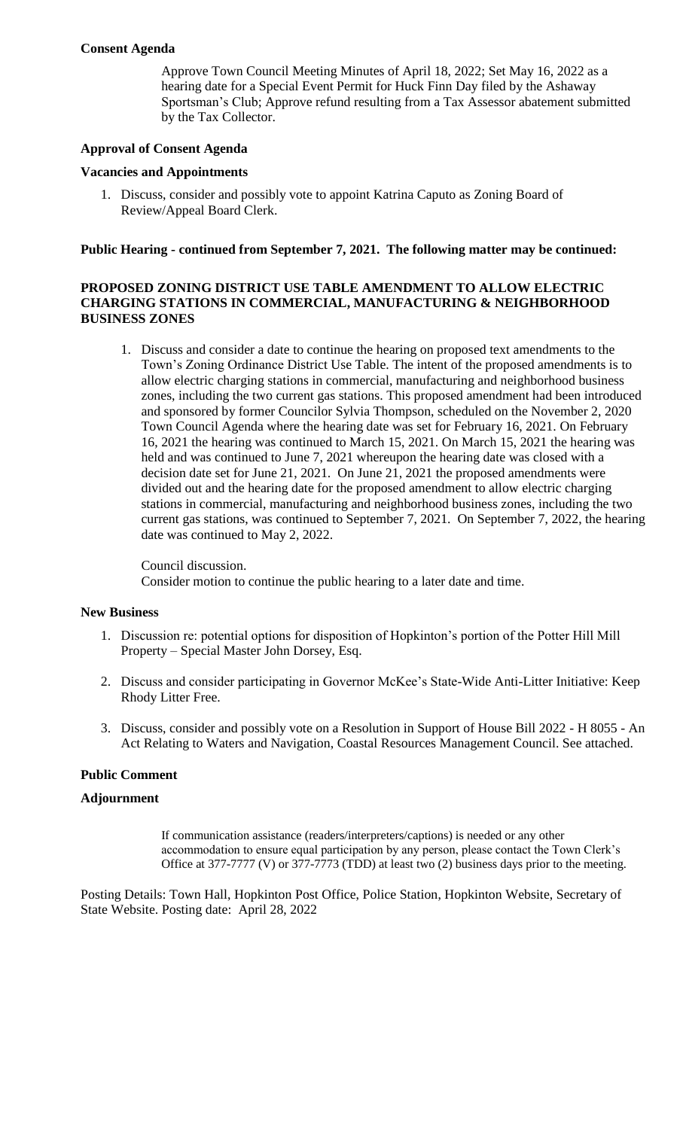## **Consent Agenda**

Approve Town Council Meeting Minutes of April 18, 2022; Set May 16, 2022 as a hearing date for a Special Event Permit for Huck Finn Day filed by the Ashaway Sportsman's Club; Approve refund resulting from a Tax Assessor abatement submitted by the Tax Collector.

# **Approval of Consent Agenda**

# **Vacancies and Appointments**

1. Discuss, consider and possibly vote to appoint Katrina Caputo as Zoning Board of Review/Appeal Board Clerk.

# **Public Hearing - continued from September 7, 2021. The following matter may be continued:**

## **PROPOSED ZONING DISTRICT USE TABLE AMENDMENT TO ALLOW ELECTRIC CHARGING STATIONS IN COMMERCIAL, MANUFACTURING & NEIGHBORHOOD BUSINESS ZONES**

1. Discuss and consider a date to continue the hearing on proposed text amendments to the Town's Zoning Ordinance District Use Table. The intent of the proposed amendments is to allow electric charging stations in commercial, manufacturing and neighborhood business zones, including the two current gas stations. This proposed amendment had been introduced and sponsored by former Councilor Sylvia Thompson, scheduled on the November 2, 2020 Town Council Agenda where the hearing date was set for February 16, 2021. On February 16, 2021 the hearing was continued to March 15, 2021. On March 15, 2021 the hearing was held and was continued to June 7, 2021 whereupon the hearing date was closed with a decision date set for June 21, 2021. On June 21, 2021 the proposed amendments were divided out and the hearing date for the proposed amendment to allow electric charging stations in commercial, manufacturing and neighborhood business zones, including the two current gas stations, was continued to September 7, 2021. On September 7, 2022, the hearing date was continued to May 2, 2022.

Council discussion. Consider motion to continue the public hearing to a later date and time.

## **New Business**

- 1. Discussion re: potential options for disposition of Hopkinton's portion of the Potter Hill Mill Property – Special Master John Dorsey, Esq.
- 2. Discuss and consider participating in Governor McKee's State-Wide Anti-Litter Initiative: Keep Rhody Litter Free.
- 3. Discuss, consider and possibly vote on a Resolution in Support of House Bill 2022 H 8055 An Act Relating to Waters and Navigation, Coastal Resources Management Council. See attached.

## **Public Comment**

## **Adjournment**

If communication assistance (readers/interpreters/captions) is needed or any other accommodation to ensure equal participation by any person, please contact the Town Clerk's Office at 377-7777 (V) or 377-7773 (TDD) at least two (2) business days prior to the meeting.

Posting Details: Town Hall, Hopkinton Post Office, Police Station, Hopkinton Website, Secretary of State Website. Posting date: April 28, 2022